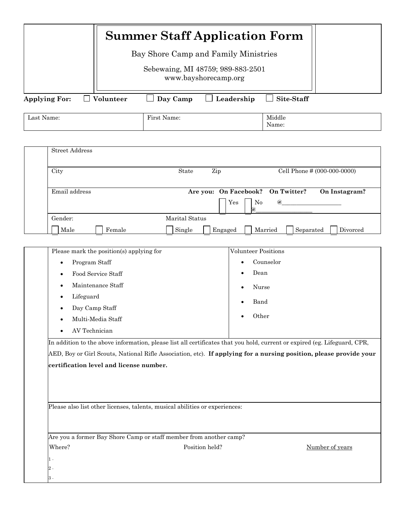|                                                                            | <b>Summer Staff Application Form</b>                                                                                                                                                                                                                                                                                                                                                                                                                                                                                                                                                                                                                  |                                          |                                             |                             |  |  |  |
|----------------------------------------------------------------------------|-------------------------------------------------------------------------------------------------------------------------------------------------------------------------------------------------------------------------------------------------------------------------------------------------------------------------------------------------------------------------------------------------------------------------------------------------------------------------------------------------------------------------------------------------------------------------------------------------------------------------------------------------------|------------------------------------------|---------------------------------------------|-----------------------------|--|--|--|
|                                                                            | Bay Shore Camp and Family Ministries                                                                                                                                                                                                                                                                                                                                                                                                                                                                                                                                                                                                                  |                                          |                                             |                             |  |  |  |
|                                                                            | Sebewaing, MI 48759; 989-883-2501<br>www.bayshorecamp.org                                                                                                                                                                                                                                                                                                                                                                                                                                                                                                                                                                                             |                                          |                                             |                             |  |  |  |
| <b>Applying For:</b><br>$\mathbf{I}$                                       | Day Camp<br>Volunteer                                                                                                                                                                                                                                                                                                                                                                                                                                                                                                                                                                                                                                 | Leadership                               | Site-Staff                                  |                             |  |  |  |
| Last Name:                                                                 | First Name:                                                                                                                                                                                                                                                                                                                                                                                                                                                                                                                                                                                                                                           |                                          | Middle<br>Name:                             |                             |  |  |  |
| <b>Street Address</b>                                                      |                                                                                                                                                                                                                                                                                                                                                                                                                                                                                                                                                                                                                                                       |                                          |                                             |                             |  |  |  |
| City                                                                       | $\operatorname*{State}% \left( X\right) \equiv\operatorname*{State}% \left( X\right) \equiv\operatorname*{State}% \left( X\right) \equiv\operatorname*{State}\left( X\right) \equiv\operatorname*{State}% \left( X\right) \equiv\operatorname*{State}\left( X\right) \equiv\operatorname*{State}% \left( X\right) \equiv\operatorname*{State}\left( X\right) \equiv\operatorname*{State}% \left( X\right) \equiv\operatorname*{State}\left( X\right) \equiv\operatorname*{State}% \left( X\right) \equiv\operatorname*{State}\left( X\right) \equiv\operatorname*{State}% \left( X\right) \equiv\operatorname*{State}\left( X\right) \equiv\operator$ | Zip                                      |                                             | Cell Phone # (000-000-0000) |  |  |  |
| Email address                                                              |                                                                                                                                                                                                                                                                                                                                                                                                                                                                                                                                                                                                                                                       | Are you: On Facebook?<br>No<br>Yes<br>@, | On Twitter?<br>$@{}$                        | On Instagram?               |  |  |  |
| Gender:<br>Male                                                            | Marital Status<br>Female<br>Single                                                                                                                                                                                                                                                                                                                                                                                                                                                                                                                                                                                                                    | Engaged                                  | Married<br>Separated                        | Divorced                    |  |  |  |
| Program Staff<br>$\bullet$<br>Lifeguard<br>Day Camp Staff<br>AV Technician | Please mark the position(s) applying for<br>Food Service Staff<br>Maintenance Staff<br>Multi-Media Staff<br>In addition to the above information, please list all certificates that you hold, current or expired (eg. Lifeguard, CPR,<br>AED, Boy or Girl Scouts, National Rifle Association, etc). If applying for a nursing position, please provide your<br>certification level and license number.                                                                                                                                                                                                                                                | Volunteer Positions                      | Counselor<br>Dean<br>Nurse<br>Band<br>Other |                             |  |  |  |
|                                                                            | Please also list other licenses, talents, musical abilities or experiences:                                                                                                                                                                                                                                                                                                                                                                                                                                                                                                                                                                           |                                          |                                             |                             |  |  |  |
| Where?<br>$1 -$<br>$2$ .                                                   | Are you a former Bay Shore Camp or staff member from another camp?                                                                                                                                                                                                                                                                                                                                                                                                                                                                                                                                                                                    | Position held?                           |                                             | Number of years             |  |  |  |
| 3 -                                                                        |                                                                                                                                                                                                                                                                                                                                                                                                                                                                                                                                                                                                                                                       |                                          |                                             |                             |  |  |  |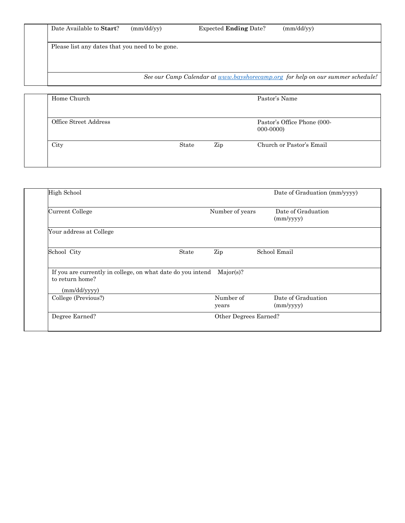| Date Available to Start?                        | (mm/dd/vv) | <b>Expected Ending Date?</b>                                                   | (mm/dd/yy) |
|-------------------------------------------------|------------|--------------------------------------------------------------------------------|------------|
| Please list any dates that you need to be gone. |            |                                                                                |            |
|                                                 |            |                                                                                |            |
|                                                 |            | See our Camp Calendar at www.bayshorecamp.org for help on our summer schedule! |            |

| Home Church           |       |     | Pastor's Name                             |
|-----------------------|-------|-----|-------------------------------------------|
| Office Street Address |       |     | Pastor's Office Phone (000-<br>$000-0000$ |
| City                  | State | Zip | Church or Pastor's Email                  |

| High School                                                                                    |       |                    | Date of Graduation (mm/yyyy)    |
|------------------------------------------------------------------------------------------------|-------|--------------------|---------------------------------|
| Current College                                                                                |       | Number of years    | Date of Graduation<br>(mm/yyyy) |
| Your address at College                                                                        |       |                    |                                 |
| School City                                                                                    | State | Zip                | School Email                    |
|                                                                                                |       |                    |                                 |
| If you are currently in college, on what date do you intend<br>to return home?<br>(mm/dd/yyyy) |       | Major(s)?          |                                 |
| College (Previous?)                                                                            |       | Number of<br>years | Date of Graduation<br>(mm/yyyy) |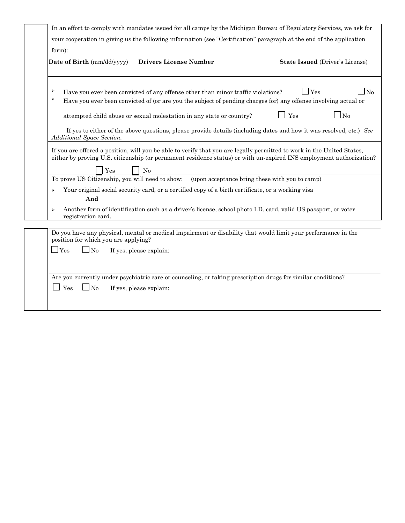| your cooperation in giving us the following information (see "Certification" paragraph at the end of the application<br>form):<br><b>Drivers License Number</b><br>Date of Birth (mm/dd/yyyy)<br>$\Box$ Yes<br>⋗<br>Have you ever been convicted of any offense other than minor traffic violations?<br>⋗<br>Have you ever been convicted of (or are you the subject of pending charges for) any offense involving actual or<br>$\Box$ No<br>Yes<br>attempted child abuse or sexual molestation in any state or country?<br>If yes to either of the above questions, please provide details (including dates and how it was resolved, etc.) See<br>Additional Space Section.<br>If you are offered a position, will you be able to verify that you are legally permitted to work in the United States,<br>either by proving U.S. citizenship (or permanent residence status) or with un-expired INS employment authorization?<br>Yes<br>N <sub>0</sub><br>(upon acceptance bring these with you to camp)<br>To prove US Citizenship, you will need to show:<br>Your original social security card, or a certified copy of a birth certificate, or a working visa<br>⋗<br>And<br>Another form of identification such as a driver's license, school photo I.D. card, valid US passport, or voter<br>⋗<br>registration card.<br>Do you have any physical, mental or medical impairment or disability that would limit your performance in the<br>position for which you are applying?<br>$\Box$ Yes<br>N <sub>o</sub><br>If yes, please explain:<br>Are you currently under psychiatric care or counseling, or taking prescription drugs for similar conditions?<br>N <sub>o</sub><br>Yes<br>If yes, please explain: | In an effort to comply with mandates issued for all camps by the Michigan Bureau of Regulatory Services, we ask for |                                        |
|-------------------------------------------------------------------------------------------------------------------------------------------------------------------------------------------------------------------------------------------------------------------------------------------------------------------------------------------------------------------------------------------------------------------------------------------------------------------------------------------------------------------------------------------------------------------------------------------------------------------------------------------------------------------------------------------------------------------------------------------------------------------------------------------------------------------------------------------------------------------------------------------------------------------------------------------------------------------------------------------------------------------------------------------------------------------------------------------------------------------------------------------------------------------------------------------------------------------------------------------------------------------------------------------------------------------------------------------------------------------------------------------------------------------------------------------------------------------------------------------------------------------------------------------------------------------------------------------------------------------------------------------------------------------------------------------------------------------|---------------------------------------------------------------------------------------------------------------------|----------------------------------------|
|                                                                                                                                                                                                                                                                                                                                                                                                                                                                                                                                                                                                                                                                                                                                                                                                                                                                                                                                                                                                                                                                                                                                                                                                                                                                                                                                                                                                                                                                                                                                                                                                                                                                                                                   |                                                                                                                     |                                        |
|                                                                                                                                                                                                                                                                                                                                                                                                                                                                                                                                                                                                                                                                                                                                                                                                                                                                                                                                                                                                                                                                                                                                                                                                                                                                                                                                                                                                                                                                                                                                                                                                                                                                                                                   |                                                                                                                     | <b>State Issued (Driver's License)</b> |
|                                                                                                                                                                                                                                                                                                                                                                                                                                                                                                                                                                                                                                                                                                                                                                                                                                                                                                                                                                                                                                                                                                                                                                                                                                                                                                                                                                                                                                                                                                                                                                                                                                                                                                                   |                                                                                                                     | $\Box$ No                              |
|                                                                                                                                                                                                                                                                                                                                                                                                                                                                                                                                                                                                                                                                                                                                                                                                                                                                                                                                                                                                                                                                                                                                                                                                                                                                                                                                                                                                                                                                                                                                                                                                                                                                                                                   |                                                                                                                     |                                        |
|                                                                                                                                                                                                                                                                                                                                                                                                                                                                                                                                                                                                                                                                                                                                                                                                                                                                                                                                                                                                                                                                                                                                                                                                                                                                                                                                                                                                                                                                                                                                                                                                                                                                                                                   |                                                                                                                     |                                        |
|                                                                                                                                                                                                                                                                                                                                                                                                                                                                                                                                                                                                                                                                                                                                                                                                                                                                                                                                                                                                                                                                                                                                                                                                                                                                                                                                                                                                                                                                                                                                                                                                                                                                                                                   |                                                                                                                     |                                        |
|                                                                                                                                                                                                                                                                                                                                                                                                                                                                                                                                                                                                                                                                                                                                                                                                                                                                                                                                                                                                                                                                                                                                                                                                                                                                                                                                                                                                                                                                                                                                                                                                                                                                                                                   |                                                                                                                     |                                        |
|                                                                                                                                                                                                                                                                                                                                                                                                                                                                                                                                                                                                                                                                                                                                                                                                                                                                                                                                                                                                                                                                                                                                                                                                                                                                                                                                                                                                                                                                                                                                                                                                                                                                                                                   |                                                                                                                     |                                        |
|                                                                                                                                                                                                                                                                                                                                                                                                                                                                                                                                                                                                                                                                                                                                                                                                                                                                                                                                                                                                                                                                                                                                                                                                                                                                                                                                                                                                                                                                                                                                                                                                                                                                                                                   |                                                                                                                     |                                        |
|                                                                                                                                                                                                                                                                                                                                                                                                                                                                                                                                                                                                                                                                                                                                                                                                                                                                                                                                                                                                                                                                                                                                                                                                                                                                                                                                                                                                                                                                                                                                                                                                                                                                                                                   |                                                                                                                     |                                        |
|                                                                                                                                                                                                                                                                                                                                                                                                                                                                                                                                                                                                                                                                                                                                                                                                                                                                                                                                                                                                                                                                                                                                                                                                                                                                                                                                                                                                                                                                                                                                                                                                                                                                                                                   |                                                                                                                     |                                        |
|                                                                                                                                                                                                                                                                                                                                                                                                                                                                                                                                                                                                                                                                                                                                                                                                                                                                                                                                                                                                                                                                                                                                                                                                                                                                                                                                                                                                                                                                                                                                                                                                                                                                                                                   |                                                                                                                     |                                        |
|                                                                                                                                                                                                                                                                                                                                                                                                                                                                                                                                                                                                                                                                                                                                                                                                                                                                                                                                                                                                                                                                                                                                                                                                                                                                                                                                                                                                                                                                                                                                                                                                                                                                                                                   |                                                                                                                     |                                        |
|                                                                                                                                                                                                                                                                                                                                                                                                                                                                                                                                                                                                                                                                                                                                                                                                                                                                                                                                                                                                                                                                                                                                                                                                                                                                                                                                                                                                                                                                                                                                                                                                                                                                                                                   |                                                                                                                     |                                        |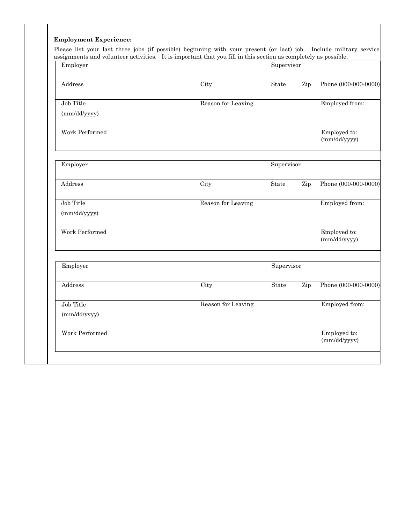| Employer              | assignments and volunteer activities. It is important that you fill in this section as completely as possible. | Supervisor |     |                              |
|-----------------------|----------------------------------------------------------------------------------------------------------------|------------|-----|------------------------------|
| Address               | City                                                                                                           | State      | Zip | Phone (000-000-0000)         |
| Job Title             | Reason for Leaving                                                                                             |            |     | Employed from:               |
| (mm/dd/yyyy)          |                                                                                                                |            |     |                              |
| <b>Work Performed</b> |                                                                                                                |            |     | Employed to:<br>(mm/dd/yyyy) |
| Employer              |                                                                                                                | Supervisor |     |                              |
| Address               | City                                                                                                           | State      | Zip | Phone (000-000-0000)         |
| Job Title             | Reason for Leaving                                                                                             |            |     | Employed from:               |
| (mm/dd/yyyy)          |                                                                                                                |            |     |                              |
| Work Performed        |                                                                                                                |            |     | Employed to:<br>(mm/dd/yyyy) |
| Employer              |                                                                                                                | Supervisor |     |                              |
| Address               | City                                                                                                           | State      | Zip | Phone (000-000-0000)         |
| Job Title             | Reason for Leaving                                                                                             |            |     | Employed from:               |
| (mm/dd/yyyy)          |                                                                                                                |            |     |                              |
| Work Performed        |                                                                                                                |            |     | Employed to:<br>(mm/dd/yyyy) |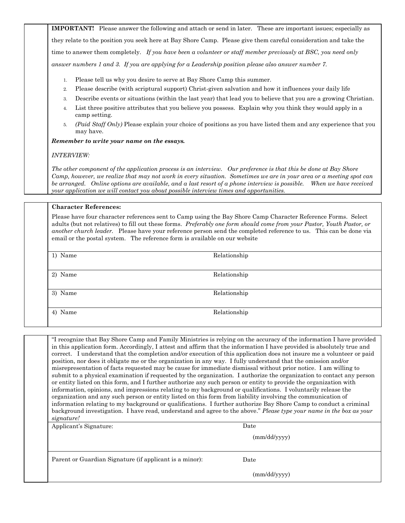**IMPORTANT!** Please answer the following and attach or send in later. These are important issues; especially as they relate to the position you seek here at Bay Shore Camp. Please give them careful consideration and take the time to answer them completely. *If you have been a volunteer or staff member previously at BSC, you need only answer numbers 1 and 3. If you are applying for a Leadership position please also answer number 7.* 

- 1. Please tell us why you desire to serve at Bay Shore Camp this summer.
- 2. Please describe (with scriptural support) Christ-given salvation and how it influences your daily life
- 3. Describe events or situations (within the last year) that lead you to believe that you are a growing Christian.
- 4. List three positive attributes that you believe you possess. Explain why you think they would apply in a camp setting.
- 5. *(Paid Staff Only)* Please explain your choice of positions as you have listed them and any experience that you may have.

*Remember to write your name on the essays.* 

## *INTERVIEW:*

*The other component of the application process is an interview. Our preference is that this be done at Bay Shore Camp, however, we realize that may not work in every situation. Sometimes we are in your area or a meeting spot can be arranged. Online options are available, and a last resort of a phone interview is possible. When we have received your application we will contact you about possible interview times and opportunities.* 

## **Character References:**

Please have four character references sent to Camp using the Bay Shore Camp Character Reference Forms. Select adults (but not relatives) to fill out these forms. *Preferably one form should come from your Pastor, Youth Pastor, or another church leader.* Please have your reference person send the completed reference to us. This can be done via email or the postal system. The reference form is available on our website

| 1) Name | Relationship |
|---------|--------------|
|         |              |
| 2) Name | Relationship |
|         |              |
| 3) Name | Relationship |
|         |              |
| 4) Name | Relationship |
|         |              |

"I recognize that Bay Shore Camp and Family Ministries is relying on the accuracy of the information I have provided in this application form. Accordingly, I attest and affirm that the information I have provided is absolutely true and correct. I understand that the completion and/or execution of this application does not insure me a volunteer or paid position, nor does it obligate me or the organization in any way. I fully understand that the omission and/or misrepresentation of facts requested may be cause for immediate dismissal without prior notice. I am willing to submit to a physical examination if requested by the organization. I authorize the organization to contact any person or entity listed on this form, and I further authorize any such person or entity to provide the organization with information, opinions, and impressions relating to my background or qualifications. I voluntarily release the organization and any such person or entity listed on this form from liability involving the communication of information relating to my background or qualifications. I further authorize Bay Shore Camp to conduct a criminal background investigation. I have read, understand and agree to the above." *Please type your name in the box as your signature!*  Applicant's Signature: Date

(mm/dd/yyyy)

|  | Parent or Guardian Signature (if applicant is a minor): |  |  |
|--|---------------------------------------------------------|--|--|
|  |                                                         |  |  |
|  |                                                         |  |  |

Date

(mm/dd/yyyy)